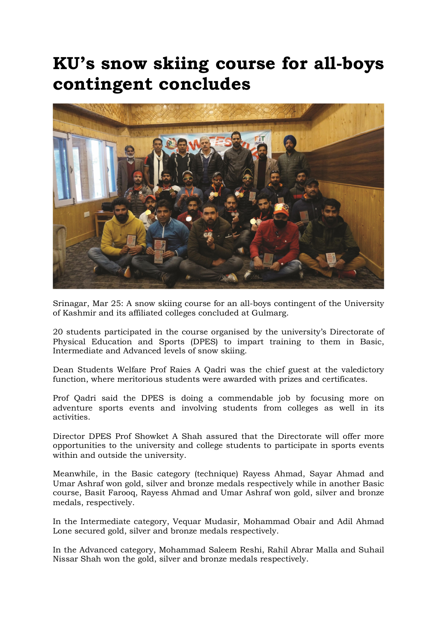## KU's snow skiing course for all-boys contingent concludes



Srinagar, Mar 25: A snow skiing course for an all-boys contingent of the University of Kashmir and its affiliated colleges concluded at Gulmarg.

20 students participated in the course organised by the university's Directorate of Physical Education and Sports (DPES) to impart training to them in Basic, Intermediate and Advanced levels of snow skiing.

Dean Students Welfare Prof Raies A Qadri was the chief guest at the valedictory function, where meritorious students were awarded with prizes and certificates.

Prof Qadri said the DPES is doing a commendable job by focusing more on adventure sports events and involving students from colleges as well in its activities.

Director DPES Prof Showket A Shah assured that the Directorate will offer more opportunities to the university and college students to participate in sports events within and outside the university.

Meanwhile, in the Basic category (technique) Rayess Ahmad, Sayar Ahmad and Umar Ashraf won gold, silver and bronze medals respectively while in another Basic course, Basit Farooq, Rayess Ahmad and Umar Ashraf won gold, silver and bronze medals, respectively.

In the Intermediate category, Vequar Mudasir, Mohammad Obair and Adil Ahmad Lone secured gold, silver and bronze medals respectively.

In the Advanced category, Mohammad Saleem Reshi, Rahil Abrar Malla and Suhail Nissar Shah won the gold, silver and bronze medals respectively.